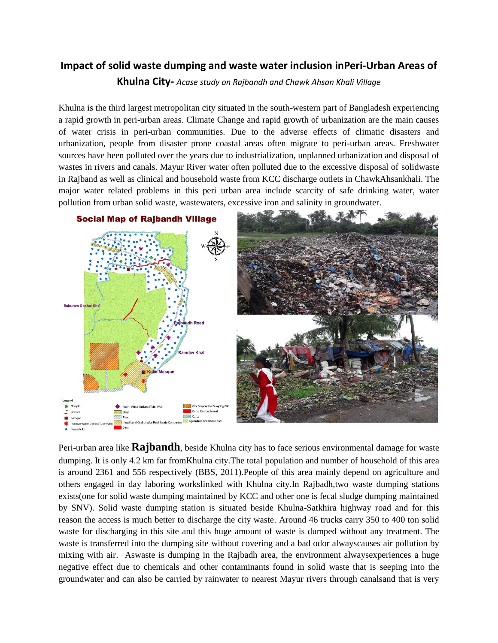## **Impact of solid waste dumping and waste water inclusion inPeri-Urban Areas of**

**Khulna City-** *Acase study on Rajbandh and Chawk Ahsan Khali Village*

Khulna is the third largest metropolitan city situated in the south-western part of Bangladesh experiencing a rapid growth in peri-urban areas. Climate Change and rapid growth of urbanization are the main causes of water crisis in peri-urban communities. Due to the adverse effects of climatic disasters and urbanization, people from disaster prone coastal areas often migrate to peri-urban areas. Freshwater sources have been polluted over the years due to industrialization, unplanned urbanization and disposal of wastes in rivers and canals. Mayur River water often polluted due to the excessive disposal of solidwaste in Rajband as well as clinical and household waste from KCC discharge outlets in ChawkAhsankhali. The major water related problems in this peri urban area include scarcity of safe drinking water, water pollution from urban solid waste, wastewaters, excessive iron and salinity in groundwater.



Peri-urban area like **Rajbandh**, beside Khulna city has to face serious environmental damage for waste dumping. It is only 4.2 km far fromKhulna city.The total population and number of household of this area is around 2361 and 556 respectively (BBS, 2011).People of this area mainly depend on agriculture and others engaged in day laboring workslinked with Khulna city.In Rajbadh,two waste dumping stations exists(one for solid waste dumping maintained by KCC and other one is fecal sludge dumping maintained by SNV). Solid waste dumping station is situated beside Khulna-Satkhira highway road and for this reason the access is much better to discharge the city waste. Around 46 trucks carry 350 to 400 ton solid waste for discharging in this site and this huge amount of waste is dumped without any treatment. The waste is transferred into the dumping site without covering and a bad odor alwayscauses air pollution by mixing with air. Aswaste is dumping in the Rajbadh area, the environment alwaysexperiences a huge negative effect due to chemicals and other contaminants found in solid waste that is seeping into the groundwater and can also be carried by rainwater to nearest Mayur rivers through canalsand that is very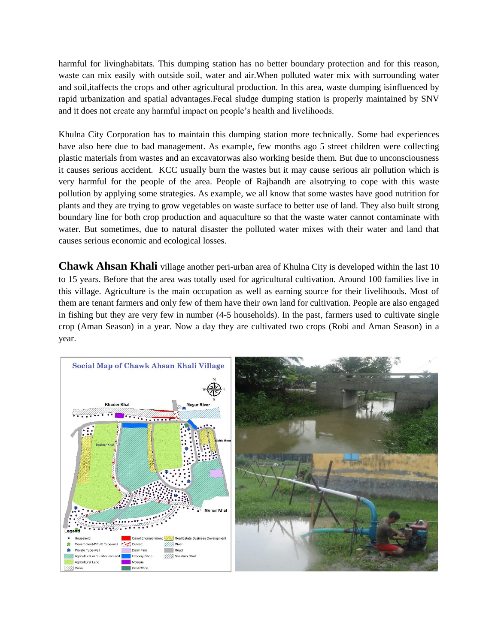harmful for livinghabitats. This dumping station has no better boundary protection and for this reason, waste can mix easily with outside soil, water and air.When polluted water mix with surrounding water and soil,itaffects the crops and other agricultural production. In this area, waste dumping isinfluenced by rapid urbanization and spatial advantages.Fecal sludge dumping station is properly maintained by SNV and it does not create any harmful impact on people's health and livelihoods.

Khulna City Corporation has to maintain this dumping station more technically. Some bad experiences have also here due to bad management. As example, few months ago 5 street children were collecting plastic materials from wastes and an excavatorwas also working beside them. But due to unconsciousness it causes serious accident. KCC usually burn the wastes but it may cause serious air pollution which is very harmful for the people of the area. People of Rajbandh are alsotrying to cope with this waste pollution by applying some strategies. As example, we all know that some wastes have good nutrition for plants and they are trying to grow vegetables on waste surface to better use of land. They also built strong boundary line for both crop production and aquaculture so that the waste water cannot contaminate with water. But sometimes, due to natural disaster the polluted water mixes with their water and land that causes serious economic and ecological losses.

**Chawk Ahsan Khali** village another peri-urban area of Khulna City is developed within the last 10 to 15 years. Before that the area was totally used for agricultural cultivation. Around 100 families live in this village. Agriculture is the main occupation as well as earning source for their livelihoods. Most of them are tenant farmers and only few of them have their own land for cultivation. People are also engaged in fishing but they are very few in number (4-5 households). In the past, farmers used to cultivate single crop (Aman Season) in a year. Now a day they are cultivated two crops (Robi and Aman Season) in a year.